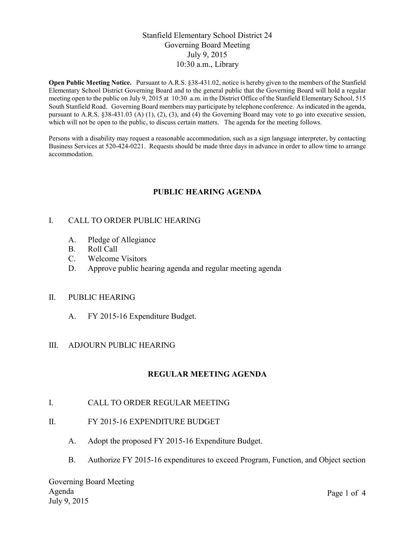# Stanfield Elementary School District 24 Governing Board Meeting July 9, 2015 10:30 a.m., Library

**Open Public Meeting Notice.** Pursuant to A.R.S. §38-431.02, notice is hereby given to the members of the Stanfield Elementary School District Governing Board and to the general public that the Governing Board will hold a regular meeting open to the public on July 9, 2015 at 10:30 a.m. in the District Office of the Stanfield Elementary School, 515 South Stanfield Road. Governing Board members may participate by telephone conference. As indicated in the agenda, pursuant to A.R.S. §38-431.03 (A) (1), (2), (3), and (4) the Governing Board may vote to go into executive session, which will not be open to the public, to discuss certain matters. The agenda for the meeting follows.

Persons with a disability may request a reasonable accommodation, such as a sign language interpreter, by contacting Business Services at 520-424-0221. Requests should be made three days in advance in order to allow time to arrange accommodation.

# **PUBLIC HEARING AGENDA**

# I. CALL TO ORDER PUBLIC HEARING

- A. Pledge of Allegiance
- B. Roll Call
- C. Welcome Visitors
- D. Approve public hearing agenda and regular meeting agenda

### II. PUBLIC HEARING

A. FY 2015-16 Expenditure Budget.

### III. ADJOURN PUBLIC HEARING

# **REGULAR MEETING AGENDA**

- I. CALL TO ORDER REGULAR MEETING
- II. FY 2015-16 EXPENDITURE BUDGET
	- A. Adopt the proposed FY 2015-16 Expenditure Budget.
	- B. Authorize FY 2015-16 expenditures to exceed Program, Function, and Object section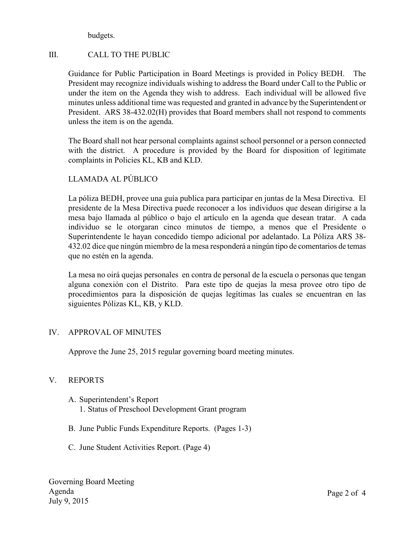budgets.

# III. CALL TO THE PUBLIC

Guidance for Public Participation in Board Meetings is provided in Policy BEDH. The President may recognize individuals wishing to address the Board under Call to the Public or under the item on the Agenda they wish to address. Each individual will be allowed five minutes unless additional time was requested and granted in advance by the Superintendent or President. ARS 38-432.02(H) provides that Board members shall not respond to comments unless the item is on the agenda.

The Board shall not hear personal complaints against school personnel or a person connected with the district. A procedure is provided by the Board for disposition of legitimate complaints in Policies KL, KB and KLD.

# LLAMADA AL PÚBLICO

La póliza BEDH, provee una guía publica para participar en juntas de la Mesa Directiva. El presidente de la Mesa Directiva puede reconocer a los individuos que desean dirigirse a la mesa bajo llamada al público o bajo el artículo en la agenda que desean tratar. A cada individuo se le otorgaran cinco minutos de tiempo, a menos que el Presidente o Superintendente le hayan concedido tiempo adicional por adelantado. La Póliza ARS 38- 432.02 dice que ningún miembro de la mesa responderá a ningún tipo de comentarios de temas que no estén en la agenda.

La mesa no oirá quejas personales en contra de personal de la escuela o personas que tengan alguna conexión con el Distrito. Para este tipo de quejas la mesa provee otro tipo de procedimientos para la disposición de quejas legítimas las cuales se encuentran en las siguientes Pólizas KL, KB, y KLD.

# IV. APPROVAL OF MINUTES

Approve the June 25, 2015 regular governing board meeting minutes.

# V. REPORTS

- A. Superintendent's Report 1. Status of Preschool Development Grant program
- B. June Public Funds Expenditure Reports. (Pages 1-3)
- C. June Student Activities Report. (Page 4)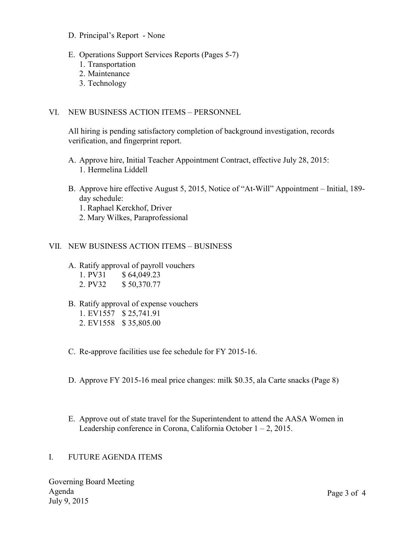- D. Principal's Report None
- E. Operations Support Services Reports (Pages 5-7)
	- 1. Transportation
	- 2. Maintenance
	- 3. Technology

### VI. NEW BUSINESS ACTION ITEMS – PERSONNEL

All hiring is pending satisfactory completion of background investigation, records verification, and fingerprint report.

- A. Approve hire, Initial Teacher Appointment Contract, effective July 28, 2015: 1. Hermelina Liddell
- B. Approve hire effective August 5, 2015, Notice of "At-Will" Appointment Initial, 189 day schedule:
	- 1. Raphael Kerckhof, Driver
	- 2. Mary Wilkes, Paraprofessional

### VII. NEW BUSINESS ACTION ITEMS – BUSINESS

- A. Ratify approval of payroll vouchers
	- 1. PV31 \$ 64,049.23
	- 2. PV32 \$ 50,370.77
- B. Ratify approval of expense vouchers
	- 1. EV1557 \$ 25,741.91
	- 2. EV1558 \$ 35,805.00
- C. Re-approve facilities use fee schedule for FY 2015-16.
- D. Approve FY 2015-16 meal price changes: milk \$0.35, ala Carte snacks (Page 8)
- E. Approve out of state travel for the Superintendent to attend the AASA Women in Leadership conference in Corona, California October  $1 - 2$ , 2015.

### I. FUTURE AGENDA ITEMS

Governing Board Meeting Agenda July 9, 2015